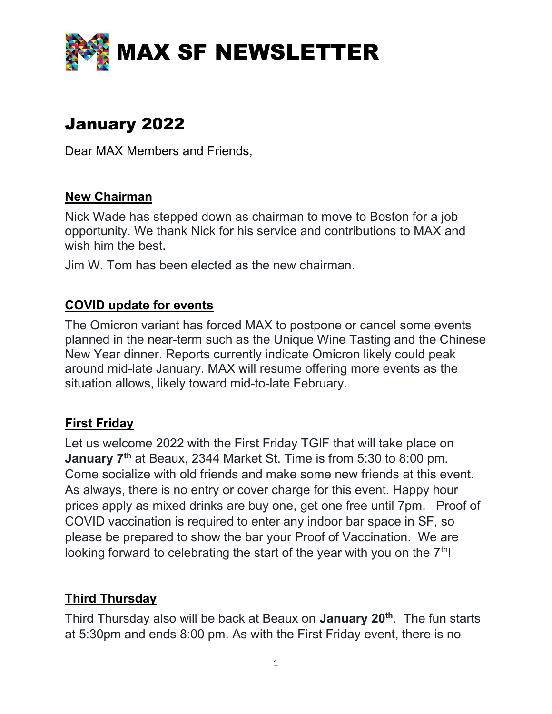

# January 2022

Dear MAX Members and Friends,

#### New Chairman

Nick Wade has stepped down as chairman to move to Boston for a job opportunity. We thank Nick for his service and contributions to MAX and wish him the best.

Jim W. Tom has been elected as the new chairman.

#### COVID update for events

The Omicron variant has forced MAX to postpone or cancel some events planned in the near-term such as the Unique Wine Tasting and the Chinese New Year dinner. Reports currently indicate Omicron likely could peak around mid-late January. MAX will resume offering more events as the situation allows, likely toward mid-to-late February.

# First Friday

Let us welcome 2022 with the First Friday TGIF that will take place on January 7<sup>th</sup> at Beaux, 2344 Market St. Time is from 5:30 to 8:00 pm. Come socialize with old friends and make some new friends at this event. As always, there is no entry or cover charge for this event. Happy hour prices apply as mixed drinks are buy one, get one free until 7pm. Proof of COVID vaccination is required to enter any indoor bar space in SF, so please be prepared to show the bar your Proof of Vaccination. We are looking forward to celebrating the start of the year with you on the  $7<sup>th</sup>$ !

# **Third Thursday**

Third Thursday also will be back at Beaux on **January 20<sup>th</sup>**. The fun starts at 5:30pm and ends 8:00 pm. As with the First Friday event, there is no